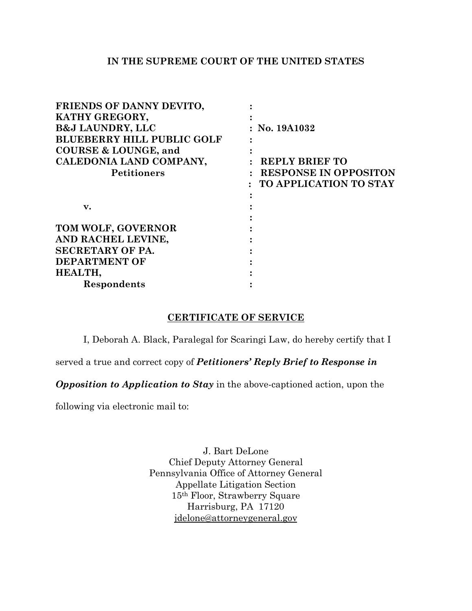## **IN THE SUPREME COURT OF THE UNITED STATES**

| : No. 19A1032                 |
|-------------------------------|
|                               |
|                               |
| <b>REPLY BRIEF TO</b>         |
| : RESPONSE IN OPPOSITON       |
| <b>TO APPLICATION TO STAY</b> |
|                               |
|                               |
|                               |
|                               |
|                               |
|                               |
|                               |
|                               |
|                               |
|                               |

## **CERTIFICATE OF SERVICE**

I, Deborah A. Black, Paralegal for Scaringi Law, do hereby certify that I

served a true and correct copy of *Petitioners' Reply Brief to Response in* 

*Opposition to Application to Stay* in the above-captioned action, upon the

following via electronic mail to:

J. Bart DeLone Chief Deputy Attorney General Pennsylvania Office of Attorney General Appellate Litigation Section 15th Floor, Strawberry Square Harrisburg, PA 17120 [jdelone@attorneygeneral.gov](mailto:jdelone@attorneygeneral.gov)